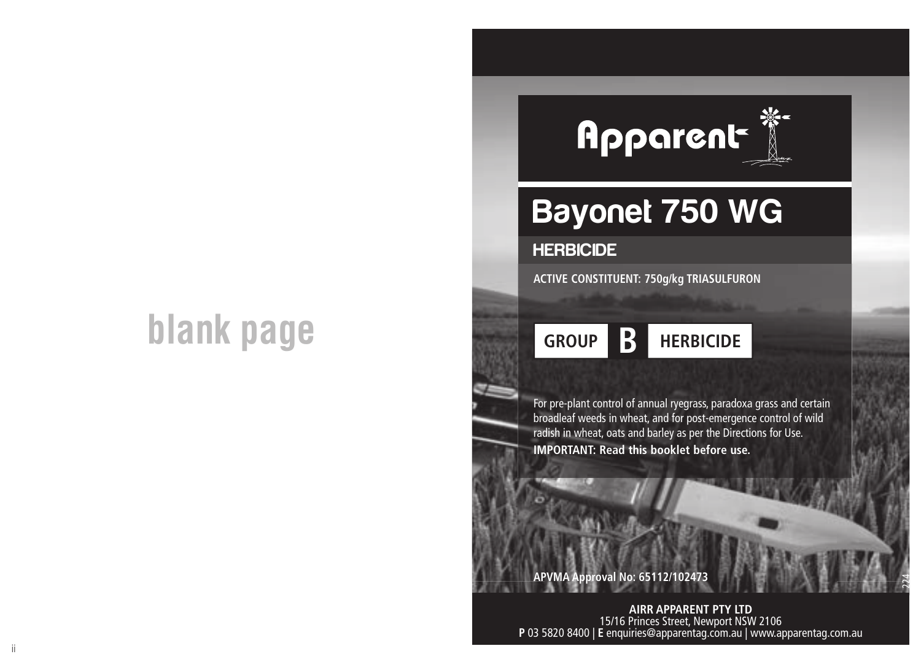# **blank page**



## Bayonet 750 WG

## **HERBICIDE**

**ACTIVE CONSTITUENT: 750g/kg TRIASULFURON**

## **GROUP B HERBICIDE**

For pre-plant control of annual ryegrass, paradoxa grass and certain broadleaf weeds in wheat, and for post-emergence control of wild radish in wheat, oats and barley as per the Directions for Use. **IMPORTANT: Read this booklet before use.**

## **APVMA Approval No: 65112/10247**

 $\ddot{\phantom{a}}$  is a second of  $\ddot{\phantom{a}}$  in the second properties of  $\ddot{\phantom{a}}$  is a second properties of  $\ddot{\phantom{a}}$  is a second properties of  $\ddot{\phantom{a}}$  is a second properties. **AIRR APPARENT PTY LTD** 15/16 Princes Street, Newport NSW 2106 **P** 03 5820 8400 | **E** enquiries@apparentag.com.au | www.apparentag.com.au

**NCC**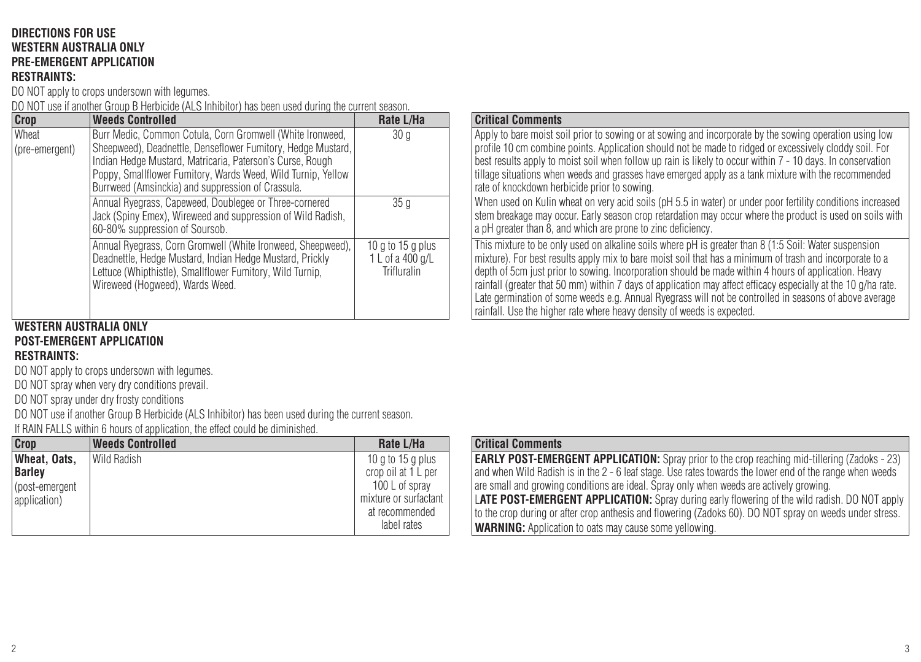## **DIRECTIONS FOR USE WESTERN AUSTRALIA ONLY PRE-EMERGENT APPLICATION**

**RESTRAINTS:**

DO NOT apply to crops undersown with legumes.

DO NOT use if another Group B Herbicide (ALS Inhibitor) has been used during the current season.

| Crop                      | <b>Weeds Controlled</b>                                                                                                                                                                                                                                                                                     | Rate L/Ha                                              |
|---------------------------|-------------------------------------------------------------------------------------------------------------------------------------------------------------------------------------------------------------------------------------------------------------------------------------------------------------|--------------------------------------------------------|
| Wheat<br>l (pre-emergent) | Burr Medic, Common Cotula, Corn Gromwell (White Ironweed,<br>Sheepweed), Deadnettle, Denseflower Fumitory, Hedge Mustard,<br>Indian Hedge Mustard, Matricaria, Paterson's Curse, Rough<br>Poppy, Smallflower Fumitory, Wards Weed, Wild Turnip, Yellow<br>Burrweed (Amsinckia) and suppression of Crassula. | 30 <sub>q</sub>                                        |
|                           | Annual Ryegrass, Capeweed, Doublegee or Three-cornered<br>Jack (Spiny Emex), Wireweed and suppression of Wild Radish,<br>60-80% suppression of Soursob.                                                                                                                                                     | 35 <sub>q</sub>                                        |
|                           | Annual Ryegrass, Corn Gromwell (White Ironweed, Sheepweed),<br>Deadnettle, Hedge Mustard, Indian Hedge Mustard, Prickly<br>Lettuce (Whipthistle), Smallflower Fumitory, Wild Turnip,<br>Wireweed (Hogweed), Wards Weed.                                                                                     | $10q$ to $15q$ plus<br>1 L of a 400 g/L<br>Trifluralin |

## **WESTERN AUSTRALIA ONLY POST-EMERGENT APPLICATION**

## **RESTRAINTS:**

DO NOT apply to crops undersown with legumes.

DO NOT spray when very dry conditions prevail.

DO NOT spray under dry frosty conditions

DO NOT use if another Group B Herbicide (ALS Inhibitor) has been used during the current season.

If RAIN FALLS within 6 hours of application, the effect could be diminished.

| Crop           | <b>Weeds Controlled</b> | Rate L/Ha             | <b>Critical Comments</b>  |
|----------------|-------------------------|-----------------------|---------------------------|
| Wheat, Oats.   | Wild Radish             | $10$ g to $15$ g plus | <b>EARLY POST-EMER</b>    |
| <b>Barley</b>  |                         | crop oil at 1 L per   | and when Wild Radisl      |
| (post-emergent |                         | 100 L of sprav        | are small and growing     |
| application)   |                         | mixture or surfactant | <b>LATE POST-EMERG</b>    |
|                |                         | at recommended        | to the crop during or     |
|                |                         | label rates           | <b>WARNING: Applicati</b> |

## **Critical Comments**

Apply to bare moist soil prior to sowing or at sowing and incorporate by the sowing operation using low profile 10 cm combine points. Application should not be made to ridged or excessively cloddy soil. For best results apply to moist soil when follow up rain is likely to occur within 7 - 10 days. In conservation tillage situations when weeds and grasses have emerged apply as a tank mixture with the recommended rate of knockdown herbicide prior to sowing.

When used on Kulin wheat on very acid soils (pH 5.5 in water) or under poor fertility conditions increased stem breakage may occur. Early season crop retardation may occur where the product is used on soils with a pH greater than 8, and which are prone to zinc deficiency.

This mixture to be only used on alkaline soils where pH is greater than 8 (1:5 Soil: Water suspension mixture). For best results apply mix to bare moist soil that has a minimum of trash and incorporate to a depth of 5cm just prior to sowing. Incorporation should be made within 4 hours of application. Heavy rainfall (greater that 50 mm) within 7 days of application may affect efficacy especially at the 10 g/ha rate. Late germination of some weeds e.g. Annual Ryegrass will not be controlled in seasons of above average rainfall. Use the higher rate where heavy density of weeds is expected.

| <b>Critical Comments</b>                                                                                 |
|----------------------------------------------------------------------------------------------------------|
| <b>EARLY POST-EMERGENT APPLICATION:</b> Spray prior to the crop reaching mid-tillering (Zadoks - 23)     |
| and when Wild Radish is in the 2 - 6 leaf stage. Use rates towards the lower end of the range when weeds |
| are small and growing conditions are ideal. Spray only when weeds are actively growing.                  |
| <b>LATE POST-EMERGENT APPLICATION:</b> Spray during early flowering of the wild radish. DO NOT apply     |
| to the crop during or after crop anthesis and flowering (Zadoks 60). DO NOT spray on weeds under stress. |
| <b>WARNING:</b> Application to oats may cause some yellowing.                                            |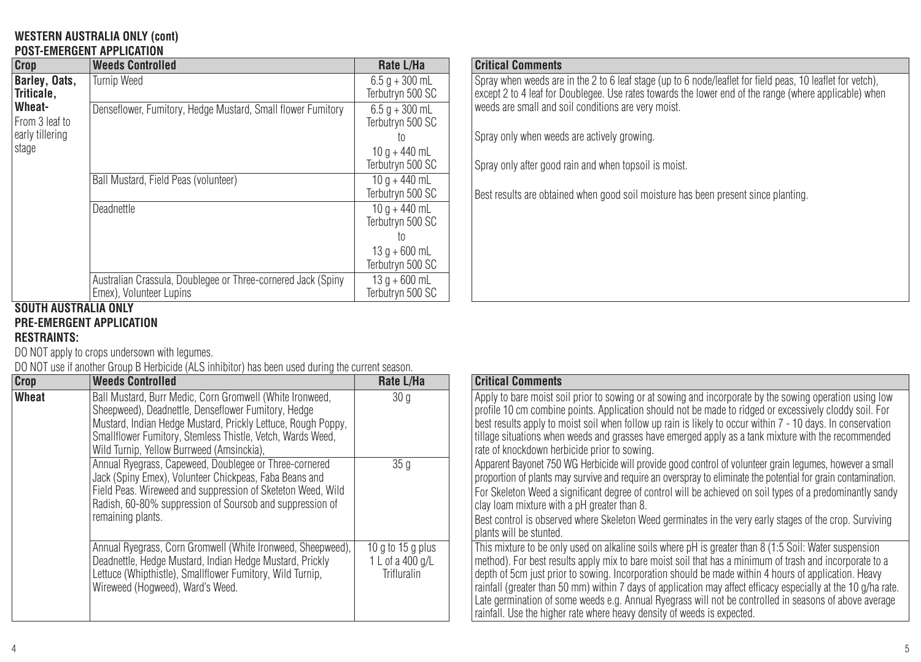#### **WESTERN AUSTRALIA ONLY (cont) POST-EMERGENT APPLICATION**

| Crop                        | <b>Weeds Controlled</b>                                                                 | Rate L/Ha                               |
|-----------------------------|-----------------------------------------------------------------------------------------|-----------------------------------------|
| Barley, Oats.<br>Triticale. | <b>Turnip Weed</b>                                                                      | $6.5 q + 300$ mL<br>Terbutrvn 500 SC    |
| Wheat-<br>From 3 leaf to    | Denseflower, Fumitory, Hedge Mustard, Small flower Fumitory                             | $6.5 q + 300$ mL<br>Terbutrvn 500 SC    |
| early tillering<br>stage    |                                                                                         | t٥<br>$10 q + 440$ mL                   |
|                             |                                                                                         | Terbutrvn 500 SC                        |
|                             | Ball Mustard, Field Peas (volunteer)                                                    | $10 q + 440 mL$<br>Terbutryn 500 SC     |
|                             | Deadnettle                                                                              | $10a + 440mL$<br>Terbutrvn 500 SC<br>to |
|                             |                                                                                         | $13q + 600$ mL<br>Terbutrvn 500 SC      |
|                             | Australian Crassula, Doublegee or Three-cornered Jack (Spiny<br>Emex). Volunteer Lupins | $13q + 600$ mL<br>Terbutrvn 500 SC      |

## **Critical Comments**

Spray when weeds are in the 2 to 6 leaf stage (up to 6 node/leaflet for field peas, 10 leaflet for vetch), except 2 to 4 leaf for Doublegee. Use rates towards the lower end of the range (where applicable) when weeds are small and soil conditions are very moist.

Spray only when weeds are actively growing.

Spray only after good rain and when topsoil is moist.

Best results are obtained when good soil moisture has been present since planting.

#### **SOUTH AUSTRALIA ONLY PRE-EMERGENT APPLICATION**

## **RESTRAINTS:**

DO NOT apply to crops undersown with legumes.

DO NOT use if another Group B Herbicide (ALS inhibitor) has been used during the current season.

| Crop  | <b>Weeds Controlled</b>                                                                                                                                                                                                                                                                    | Rate L/Ha                                            | <b>Critical Comments</b>                                                                                                                                  |
|-------|--------------------------------------------------------------------------------------------------------------------------------------------------------------------------------------------------------------------------------------------------------------------------------------------|------------------------------------------------------|-----------------------------------------------------------------------------------------------------------------------------------------------------------|
| Wheat | Ball Mustard, Burr Medic, Corn Gromwell (White Ironweed,<br>Sheepweed), Deadnettle, Denseflower Fumitory, Hedge<br>Mustard, Indian Hedge Mustard, Prickly Lettuce, Rough Poppy,<br>Smallflower Fumitory, Stemless Thistle, Vetch, Wards Weed,<br>Wild Turnip, Yellow Burrweed (Amsinckia), | 30 <sub>q</sub>                                      | Apply to bare moist s<br>profile 10 cm combin<br>best results apply to r<br>l tillage situations wher<br>rate of knockdown he                             |
|       | Annual Ryegrass, Capeweed, Doublegee or Three-cornered<br>Jack (Spiny Emex), Volunteer Chickpeas, Faba Beans and<br>Field Peas, Wireweed and suppression of Sketeton Weed, Wild<br>Radish, 60-80% suppression of Soursob and suppression of<br>remaining plants.                           | 35q                                                  | Apparent Bayonet 750<br>proportion of plants m<br>For Skeleton Weed a:<br>clay loam mixture wit<br>Best control is observ<br>plants will be stunted       |
|       | Annual Ryegrass, Corn Gromwell (White Ironweed, Sheepweed).<br>Deadnettle, Hedge Mustard, Indian Hedge Mustard, Prickly<br>Lettuce (Whipthistle), Smallflower Fumitory, Wild Turnip,<br>Wireweed (Hoaweed), Ward's Weed.                                                                   | 10 g to 15 g plus<br>1 L of a 400 g/L<br>Trifluralin | This mixture to be on<br>method). For best res<br>depth of 5cm just prio<br>rainfall (greater than 5<br>Late germination of so<br>rainfall. Use the highe |

| te L/Ha                              | <b>Critical Comments</b>                                                                                                                                                                                                                                                                                                                                                                                                                                                                                                                                                                                                        |
|--------------------------------------|---------------------------------------------------------------------------------------------------------------------------------------------------------------------------------------------------------------------------------------------------------------------------------------------------------------------------------------------------------------------------------------------------------------------------------------------------------------------------------------------------------------------------------------------------------------------------------------------------------------------------------|
| 30 a                                 | Apply to bare moist soil prior to sowing or at sowing and incorporate by the sowing operation using low<br>profile 10 cm combine points. Application should not be made to ridged or excessively cloddy soil. For<br>best results apply to moist soil when follow up rain is likely to occur within 7 - 10 days. In conservation<br>tillage situations when weeds and grasses have emerged apply as a tank mixture with the recommended<br>rate of knockdown herbicide prior to sowing.                                                                                                                                         |
| 35 <sub>0</sub>                      | Apparent Bayonet 750 WG Herbicide will provide good control of volunteer grain legumes, however a small<br>proportion of plants may survive and require an overspray to eliminate the potential for grain contamination.<br>For Skeleton Weed a significant degree of control will be achieved on soil types of a predominantly sandy<br>clay loam mixture with a pH greater than 8.<br>Best control is observed where Skeleton Weed germinates in the very early stages of the crop. Surviving<br>plants will be stunted.                                                                                                      |
| o 15 g plus<br>a 400 g/L<br>fluralin | This mixture to be only used on alkaline soils where oH is greater than 8 (1:5 Soil: Water suspension<br>method). For best results apply mix to bare moist soil that has a minimum of trash and incorporate to a<br>depth of 5cm just prior to sowing. Incorporation should be made within 4 hours of application. Heavy<br>rainfall (greater than 50 mm) within 7 days of application may affect efficacy especially at the 10 g/ha rate.<br>Late germination of some weeds e.g. Annual Ryegrass will not be controlled in seasons of above average<br>rainfall. Use the higher rate where heavy density of weeds is expected. |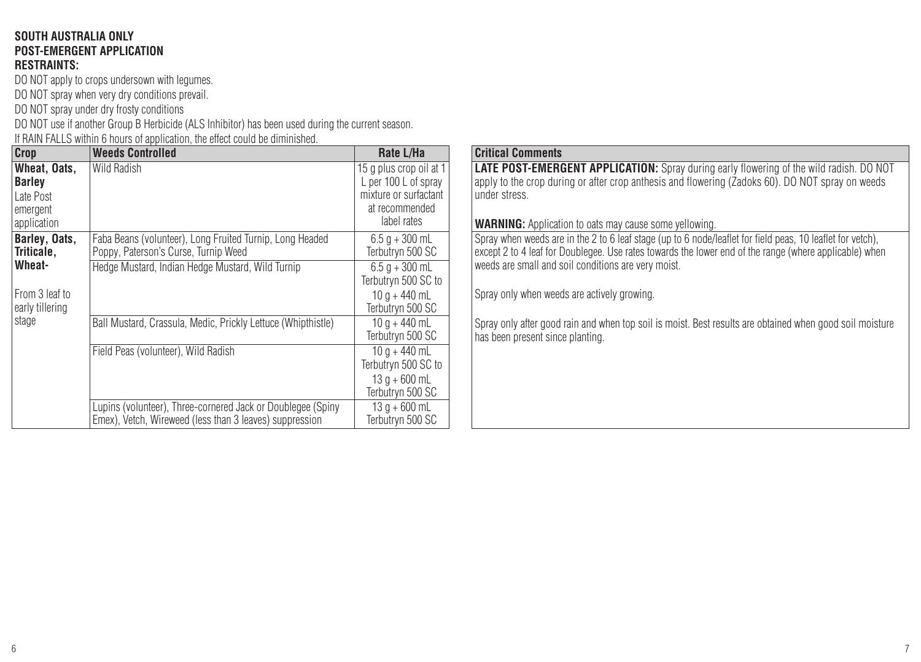#### **SOUTH AUSTRALIA ONLY POST-EMERGENT APPLICATION RESTRAINTS:**

DO NOT apply to crops undersown with legumes. DO NOT spray when very dry conditions prevail.

DO NOT spray under dry frosty conditions

DO NOT use if another Group B Herbicide (ALS Inhibitor) has been used during the current season.

If RAIN FALLS within 6 hours of application, the effect could be diminished.

| Crop                                                           | <b>Weeds Controlled</b>                                                                                                | Rate L/Ha                                                                                                 |
|----------------------------------------------------------------|------------------------------------------------------------------------------------------------------------------------|-----------------------------------------------------------------------------------------------------------|
| Wheat, Oats,<br>Barley<br>Late Post<br>emergent<br>application | Wild Radish                                                                                                            | 15 g plus crop oil at 1<br>L per 100 L of spray<br>mixture or surfactant<br>at recommended<br>label rates |
| Barley, Oats,<br>Triticale.                                    | Faba Beans (volunteer), Long Fruited Turnip, Long Headed<br>Poppy, Paterson's Curse, Turnip Weed                       | $6.5 q + 300$ mL<br>Terbutryn 500 SC                                                                      |
| Wheat-<br>From 3 leaf to<br>early tillering                    | Hedge Mustard, Indian Hedge Mustard, Wild Turnip                                                                       | $6.5 q + 300$ mL<br>Terbutryn 500 SC to<br>$10a + 440mL$<br>Terbutryn 500 SC                              |
| stage                                                          | Ball Mustard, Crassula, Medic, Prickly Lettuce (Whipthistle)                                                           | $10 q + 440$ mL<br>Terbutrvn 500 SC                                                                       |
|                                                                | Field Peas (volunteer). Wild Radish                                                                                    | $10a + 440mL$<br>Terbutryn 500 SC to<br>$13q + 600$ mL                                                    |
|                                                                |                                                                                                                        | Terbutryn 500 SC                                                                                          |
|                                                                | Lupins (volunteer), Three-cornered Jack or Doublegee (Spiny<br>Emex), Vetch, Wireweed (less than 3 leaves) suppression | $13a + 600$ mL<br>Terbutrvn 500 SC                                                                        |

#### **Critical Comments**

**LATE POST-EMERGENT APPLICATION:** Spray during early flowering of the wild radish. DO NOT apply to the crop during or after crop anthesis and flowering (Zadoks 60). DO NOT spray on weeds lunder stress.

**WARNING:** Application to oats may cause some yellowing.

Spray when weeds are in the 2 to 6 leaf stage (up to 6 node/leaflet for field peas, 10 leaflet for vetch), except 2 to 4 leaf for Doublegee. Use rates towards the lower end of the range (where applicable) when weeds are small and soil conditions are very moist.

Spray only when weeds are actively growing.

Spray only after good rain and when top soil is moist. Best results are obtained when good soil moisture has been present since planting.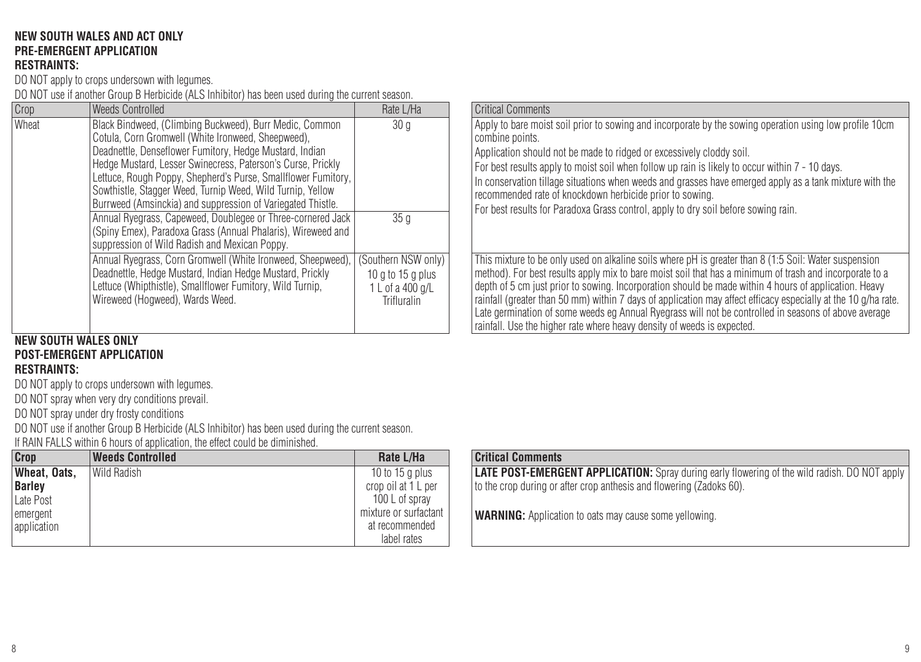#### **NEW SOUTH WALES AND ACT ONLY PRE-EMERGENT APPLICATION RESTRAINTS:**

DO NOT apply to crops undersown with legumes.

DO NOT use if another Group B Herbicide (ALS Inhibitor) has been used during the current season.

| Crop  | <b>Weeds Controlled</b>                                                                                                                                                                                                                                                                                                                                                                                                                                                                                                                                                                                                 | Rate L/Ha                                                                            | Critical Comments                                                                                                                                                                                                                                                                                                                                                                                                                                                                                         |
|-------|-------------------------------------------------------------------------------------------------------------------------------------------------------------------------------------------------------------------------------------------------------------------------------------------------------------------------------------------------------------------------------------------------------------------------------------------------------------------------------------------------------------------------------------------------------------------------------------------------------------------------|--------------------------------------------------------------------------------------|-----------------------------------------------------------------------------------------------------------------------------------------------------------------------------------------------------------------------------------------------------------------------------------------------------------------------------------------------------------------------------------------------------------------------------------------------------------------------------------------------------------|
| Wheat | Black Bindweed, (Climbing Buckweed), Burr Medic, Common<br>Cotula, Corn Gromwell (White Ironweed, Sheepweed).<br>Deadnettle, Denseflower Fumitory, Hedge Mustard, Indian<br>Hedge Mustard, Lesser Swinecress, Paterson's Curse, Prickly<br>Lettuce, Rough Poppy, Shepherd's Purse, Smallflower Fumitory,  <br>Sowthistle, Stagger Weed, Turnip Weed, Wild Turnip, Yellow<br>Burrweed (Amsinckia) and suppression of Variegated Thistle.<br>Annual Ryegrass, Capeweed, Doublegee or Three-cornered Jack<br>(Spiny Emex), Paradoxa Grass (Annual Phalaris), Wireweed and<br>suppression of Wild Radish and Mexican Poppy. | 30 <sub>q</sub><br>35 a                                                              | Apply to bare moist soil prior to sowing and incorporate by the sowing operation<br>l combine points.<br>l Application should not be made to ridged or excessively cloddy soil.<br>For best results apply to moist soil when follow up rain is likely to occur within<br>In conservation tillage situations when weeds and grasses have emerged apply a<br>recommended rate of knockdown herbicide prior to sowing.<br>For best results for Paradoxa Grass control, apply to dry soil before sowing rain. |
|       | Annual Ryegrass, Corn Gromwell (White Ironweed, Sheepweed),<br>Deadnettle, Hedge Mustard, Indian Hedge Mustard, Prickly<br>Lettuce (Whipthistle), Smallflower Fumitory, Wild Turnip,<br>Wireweed (Hoaweed), Wards Weed,                                                                                                                                                                                                                                                                                                                                                                                                 | (Southern NSW only)<br>$10a$ to $15a$ plus<br>1 L of a 400 g/L<br><b>Trifluralin</b> | This mixture to be only used on alkaline soils where pH is greater than 8 (1:5 So<br>method). For best results apply mix to bare moist soil that has a minimum of tra<br>depth of 5 cm just prior to sowing. Incorporation should be made within 4 hours<br>rainfall (greater than 50 mm) within 7 days of application may affect efficacy esp<br>Late germination of some weeds eg Annual Ryegrass will not be controlled in se                                                                          |

#### **NEW SOUTH WALES ONLY POST-EMERGENT APPLICATION RESTRAINTS:**

DO NOT apply to crops undersown with legumes.

DO NOT spray when very dry conditions prevail.

DO NOT spray under dry frosty conditions

DO NOT use if another Group B Herbicide (ALS Inhibitor) has been used during the current season.

If RAIN FALLS within 6 hours of application, the effect could be diminished.

| Crop          | <b>Weeds Controlled</b> | Rate L/Ha             | <b>Critical Comments</b> |
|---------------|-------------------------|-----------------------|--------------------------|
| Wheat. Oats.  | Wild Radish             | 10 to 15 a plus       | <b>LATE POST-EMERO</b>   |
| <b>Barley</b> |                         | crop oil at 1 L per   | to the crop during or    |
| Late Post     |                         | 100 L of sprav        |                          |
| emergent      |                         | mixture or surfactant | <b>WARNING: Applicat</b> |
| application   |                         | at recommended        |                          |
|               |                         | label rates           |                          |

| 20U I I .                                            |                                                                                                                                                                                                                                                                                                                                                                                                                                                                                                                                                                                                                                |
|------------------------------------------------------|--------------------------------------------------------------------------------------------------------------------------------------------------------------------------------------------------------------------------------------------------------------------------------------------------------------------------------------------------------------------------------------------------------------------------------------------------------------------------------------------------------------------------------------------------------------------------------------------------------------------------------|
| te L/Ha                                              | <b>Critical Comments</b>                                                                                                                                                                                                                                                                                                                                                                                                                                                                                                                                                                                                       |
| 30 a                                                 | Apply to bare moist soil prior to sowing and incorporate by the sowing operation using low profile 10cm<br>combine points.<br>Application should not be made to ridged or excessively cloddy soil.<br>For best results apply to moist soil when follow up rain is likely to occur within 7 - 10 days.<br>In conservation tillage situations when weeds and grasses have emerged apply as a tank mixture with the<br>recommended rate of knockdown herbicide prior to sowing.                                                                                                                                                   |
| 35 <sub>0</sub>                                      | For best results for Paradoxa Grass control, apply to dry soil before sowing rain.                                                                                                                                                                                                                                                                                                                                                                                                                                                                                                                                             |
| n NSW onlv)<br>o 15 a plusi<br>a 400 g/L<br>fluralin | This mixture to be only used on alkaline soils where oH is greater than 8 (1:5 Soil: Water suspension<br>method). For best results apply mix to bare moist soil that has a minimum of trash and incorporate to a<br>depth of 5 cm just prior to sowing. Incorporation should be made within 4 hours of application. Heavy<br>rainfall (greater than 50 mm) within 7 days of application may affect efficacy especially at the 10 g/ha rate.<br>Late germination of some weeds eg Annual Ryegrass will not be controlled in seasons of above average<br>rainfall. Use the higher rate where heavy density of weeds is expected. |

|  | <b>Critical Comments</b> |
|--|--------------------------|
|--|--------------------------|

**LATE POST-EMERGENT APPLICATION:** Spray during early flowering of the wild radish. DO NOT apply to the crop during or after crop anthesis and flowering (Zadoks 60).

**WARNING:** Application to oats may cause some yellowing.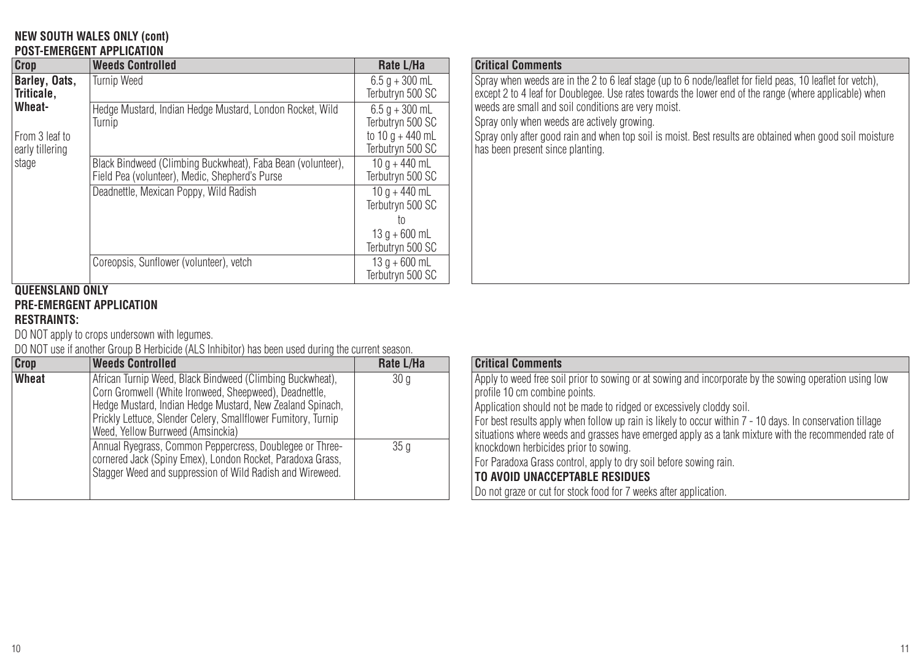#### **NEW SOUTH WALES ONLY (cont) POST-EMERGENT APPLICATION**

| Crop                                        | <b>Weeds Controlled</b>                                                                                       | Rate L/Ha                                                                    |
|---------------------------------------------|---------------------------------------------------------------------------------------------------------------|------------------------------------------------------------------------------|
| Barley, Oats,<br>Triticale.                 | <b>Turnip Weed</b>                                                                                            | $6.5$ a + 300 mL<br>Terbutryn 500 SC                                         |
| Wheat-<br>From 3 leaf to<br>early tillering | Hedge Mustard, Indian Hedge Mustard, London Rocket, Wild<br>Turnio                                            | $6.5 q + 300$ mL<br>Terbutrvn 500 SC<br>to $10a + 440mL$<br>Terbutrvn 500 SC |
| stage                                       | Black Bindweed (Climbing Buckwheat), Faba Bean (volunteer),<br>Field Pea (volunteer), Medic, Shepherd's Purse | $10a + 440mL$<br>Terbutrvn 500 SC                                            |
|                                             | Deadnettle, Mexican Poppy, Wild Radish                                                                        | $10a + 440mL$<br>Terbutrvn 500 SC<br>t٥                                      |
|                                             |                                                                                                               | $13q + 600$ mL<br>Terbutryn 500 SC                                           |
|                                             | Coreopsis, Sunflower (volunteer), vetch                                                                       | $13a + 600$ mL<br>Terbutrvn 500 SC                                           |

## **QUEENSLAND ONLY PRE-EMERGENT APPLICATION**

## **RESTRAINTS:**

DO NOT apply to crops undersown with legumes.

DO NOT use if another Group B Herbicide (ALS Inhibitor) has been used during the current season.

| Crop  | <b>Weeds Controlled</b>                                                                                                                                                                                                                                                                | Rate L/Ha       | <b>Critical Comments</b>                                                                                                  |
|-------|----------------------------------------------------------------------------------------------------------------------------------------------------------------------------------------------------------------------------------------------------------------------------------------|-----------------|---------------------------------------------------------------------------------------------------------------------------|
| Wheat | African Turnip Weed, Black Bindweed (Climbing Buckwheat).<br>Corn Gromwell (White Ironweed, Sheepweed), Deadnettle,<br>Hedge Mustard, Indian Hedge Mustard, New Zealand Spinach,<br>Prickly Lettuce, Slender Celery, Smallflower Fumitory, Turnip<br>Weed, Yellow Burrweed (Amsinckia) | 30 <sub>q</sub> | Apply to weed free so<br>orofile 10 cm combin<br>Application should no<br>For best results apply<br>situations where weed |
|       | Annual Ryegrass, Common Peppercress, Doublegee or Three-<br>cornered Jack (Spiny Emex), London Rocket, Paradoxa Grass,<br>Stagger Weed and suppression of Wild Radish and Wireweed.                                                                                                    | 35q             | l knockdown herbicide:<br>For Paradoxa Grass c<br><b>TO AVOID UNACCE</b><br>l Do not graze or cut fo                      |

## **Critical Comments**

Spray when weeds are in the 2 to 6 leaf stage (up to 6 node/leaflet for field peas, 10 leaflet for vetch), except 2 to 4 leaf for Doublegee. Use rates towards the lower end of the range (where applicable) when weeds are small and soil conditions are very moist.

Spray only when weeds are actively growing.

Spray only after good rain and when top soil is moist. Best results are obtained when good soil moisture has been present since planting.

| te L/Ha | <b>Critical Comments</b>                                                                                                                                                                                          |
|---------|-------------------------------------------------------------------------------------------------------------------------------------------------------------------------------------------------------------------|
| 30 a    | Apply to weed free soil prior to sowing or at sowing and incorporate by the sowing operation using low                                                                                                            |
|         | profile 10 cm combine points.                                                                                                                                                                                     |
|         | Application should not be made to ridged or excessively cloddy soil.                                                                                                                                              |
|         | For best results apply when follow up rain is likely to occur within 7 - 10 days. In conservation tillage<br>situations where weeds and grasses have emerged apply as a tank mixture with the recommended rate of |
| 35 a    | knockdown herbicides prior to sowing.                                                                                                                                                                             |
|         | For Paradoxa Grass control, apply to dry soil before sowing rain.                                                                                                                                                 |
|         | TO AVOID UNACCEPTABLE RESIDUES                                                                                                                                                                                    |
|         | Do not graze or cut for stock food for 7 weeks after application.                                                                                                                                                 |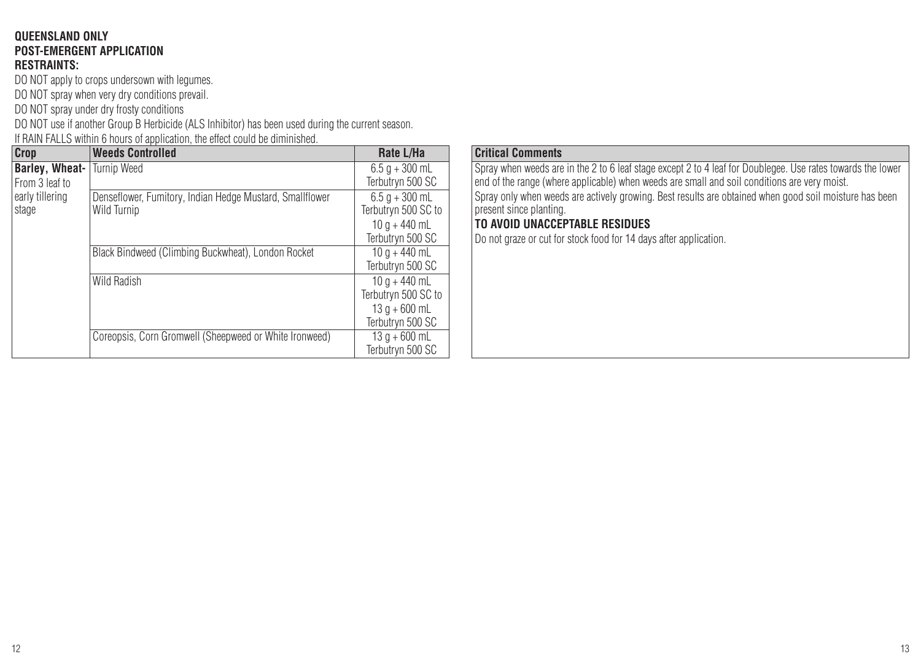#### **QUEENSLAND ONLY POST-EMERGENT APPLICATION RESTRAINTS:**

DO NOT apply to crops undersown with legumes.

DO NOT spray when very dry conditions prevail.

DO NOT spray under dry frosty conditions

DO NOT use if another Group B Herbicide (ALS Inhibitor) has been used during the current season.

If RAIN FALLS within 6 hours of application, the effect could be diminished.

| Crop                                       | <b>Weeds Controlled</b>                                                 | Rate L/Ha                                                                  |
|--------------------------------------------|-------------------------------------------------------------------------|----------------------------------------------------------------------------|
| <b>Barley, Wheat-   Turnip Weed</b>        |                                                                         | $6.5$ a + 300 mL                                                           |
| From 3 leaf to<br>early tillering<br>stage |                                                                         | Terbutryn 500 SC                                                           |
|                                            | Denseflower, Fumitory, Indian Hedge Mustard, Smallflower<br>Wild Turnip | $6.5 q + 300$ mL<br>Terbutryn 500 SC to                                    |
|                                            |                                                                         | $10a + 440mL$<br>Terbutryn 500 SC                                          |
|                                            | Black Bindweed (Climbing Buckwheat), London Rocket                      | $10a + 440mL$<br>Terbutryn 500 SC                                          |
|                                            | Wild Radish                                                             | $10a + 440mL$<br>Terbutryn 500 SC to<br>$13q + 600$ mL<br>Terbutryn 500 SC |
|                                            | Coreopsis, Corn Gromwell (Sheepweed or White Ironweed)                  | $13 q + 600$ mL<br>Terbutryn 500 SC                                        |

#### **Critical Comments**

Spray when weeds are in the 2 to 6 leaf stage except 2 to 4 leaf for Doublegee. Use rates towards the lower end of the range (where applicable) when weeds are small and soil conditions are very moist. Spray only when weeds are actively growing. Best results are obtained when good soil moisture has been present since planting.

## **TO AVOID UNACCEPTABLE RESIDUES**

Do not graze or cut for stock food for 14 days after application.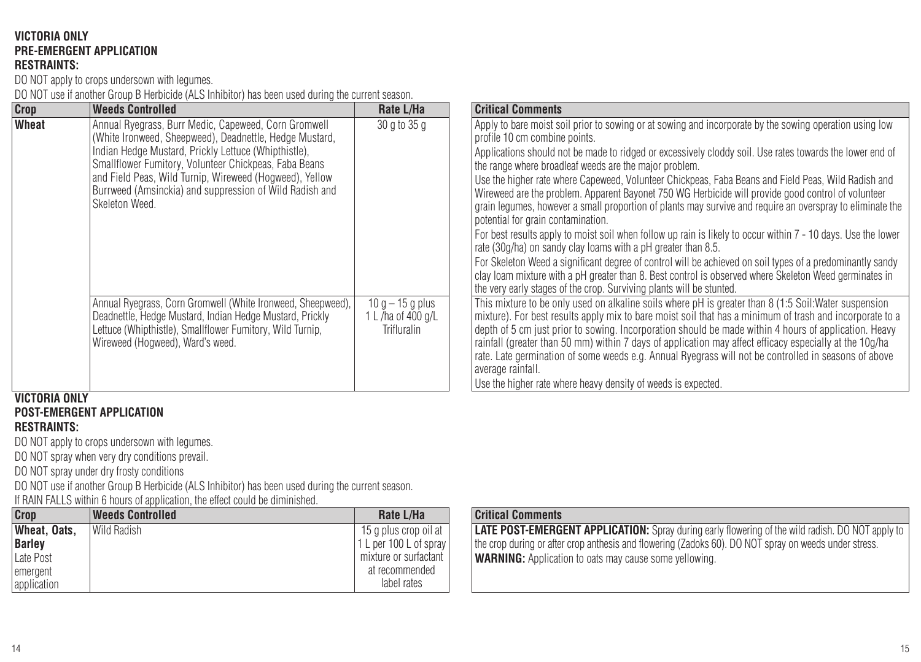#### **VICTORIA ONLY PRE-EMERGENT APPLICATION RESTRAINTS:**

DO NOT apply to crops undersown with legumes.

DO NOT use if another Group B Herbicide (ALS Inhibitor) has been used during the current season.

| Crop                 | <b>Weeds Controlled</b>                                                                                                                                                                                                                                                                                                                                                                                                                                                                                                                                                                              | Rate L/Ha                                                                    | <b>Critical Comments</b>                                                                                                                                                                                                                                                                                                                                                                                                                                                                                                                                                                                                                                                                                                                                                                                                                                                                                                                                                                                                                                                                                                                                                                                                                                                                                                                                                                                                                                                                                                                                                                                                                                                                                                                                                                              |
|----------------------|------------------------------------------------------------------------------------------------------------------------------------------------------------------------------------------------------------------------------------------------------------------------------------------------------------------------------------------------------------------------------------------------------------------------------------------------------------------------------------------------------------------------------------------------------------------------------------------------------|------------------------------------------------------------------------------|-------------------------------------------------------------------------------------------------------------------------------------------------------------------------------------------------------------------------------------------------------------------------------------------------------------------------------------------------------------------------------------------------------------------------------------------------------------------------------------------------------------------------------------------------------------------------------------------------------------------------------------------------------------------------------------------------------------------------------------------------------------------------------------------------------------------------------------------------------------------------------------------------------------------------------------------------------------------------------------------------------------------------------------------------------------------------------------------------------------------------------------------------------------------------------------------------------------------------------------------------------------------------------------------------------------------------------------------------------------------------------------------------------------------------------------------------------------------------------------------------------------------------------------------------------------------------------------------------------------------------------------------------------------------------------------------------------------------------------------------------------------------------------------------------------|
| Wheat                | Annual Ryegrass, Burr Medic, Capeweed, Corn Gromwell<br>(White Ironweed, Sheepweed), Deadnettle, Hedge Mustard,<br>Indian Hedge Mustard, Prickly Lettuce (Whipthistle),<br>Smallflower Fumitory, Volunteer Chickpeas, Faba Beans<br>and Field Peas, Wild Turnip, Wireweed (Hogweed), Yellow<br>Burrweed (Amsinckia) and suppression of Wild Radish and<br>Skeleton Weed.<br>Annual Ryegrass, Corn Gromwell (White Ironweed, Sheepweed),<br>Deadnettle, Hedge Mustard, Indian Hedge Mustard, Prickly<br>Lettuce (Whipthistle), Smallflower Fumitory, Wild Turnip,<br>Wireweed (Hogweed), Ward's weed. | 30 g to 35 g<br>$10q - 15q$ plus<br>1 L /ha of 400 g/L<br><b>Trifluralin</b> | Apply to bare moist soil prior to sowing or at sowing and incorporate by the sowing operation using low<br>profile 10 cm combine points.<br>Applications should not be made to ridged or excessively cloddy soil. Use rates towards the lower end of<br>the range where broadleaf weeds are the major problem.<br>Use the higher rate where Capeweed. Volunteer Chickpeas. Faba Beans and Field Peas. Wild Radish and<br>Wireweed are the problem. Apparent Bayonet 750 WG Herbicide will provide good control of volunteer<br>grain legumes, however a small proportion of plants may survive and reguire an overspray to eliminate the<br>potential for grain contamination.<br>For best results apply to moist soil when follow up rain is likely to occur within 7 - 10 days. Use the lower<br>rate (30g/ha) on sandy clay loams with a pH greater than 8.5.<br>For Skeleton Weed a significant degree of control will be achieved on soil types of a predominantly sandy<br>clav loam mixture with a pH greater than 8. Best control is observed where Skeleton Weed germinates in<br>the very early stages of the crop. Surviving plants will be stunted.<br>This mixture to be only used on alkaline soils where pH is greater than 8 (1:5 Soil:Water suspension<br>mixture). For best results apply mix to bare moist soil that has a minimum of trash and incorporate to a<br>depth of 5 cm just prior to sowing. Incorporation should be made within 4 hours of application. Heavy<br>rainfall (greater than 50 mm) within 7 days of application may affect efficacy especially at the 10g/ha<br>rate. Late germination of some weeds e.g. Annual Ryegrass will not be controlled in seasons of above<br>average rainfall.<br>Use the higher rate where heavy density of weeds is expected. |
| <b>VICTORIA ONLY</b> |                                                                                                                                                                                                                                                                                                                                                                                                                                                                                                                                                                                                      |                                                                              |                                                                                                                                                                                                                                                                                                                                                                                                                                                                                                                                                                                                                                                                                                                                                                                                                                                                                                                                                                                                                                                                                                                                                                                                                                                                                                                                                                                                                                                                                                                                                                                                                                                                                                                                                                                                       |

#### **VICTORIA ONLY POST-EMERGENT APPLICATION**

## **RESTRAINTS:**

DO NOT apply to crops undersown with legumes.

DO NOT spray when very dry conditions prevail.

DO NOT spray under dry frosty conditions

DO NOT use if another Group B Herbicide (ALS Inhibitor) has been used during the current season.

If RAIN FALLS within 6 hours of application, the effect could be diminished.

| Crop         | <b>Weeds Controlled</b> | Rate L/Ha              |
|--------------|-------------------------|------------------------|
| Wheat. Oats. | l Wild Radish           | 15 q plus crop oil at  |
| Barley       |                         | 1 L per 100 L of spray |
| Late Post    |                         | mixture or surfactant  |
| emergent     |                         | at recommended         |
| application  |                         | label rates            |

## **Critical Comments**

**LATE POST-EMERGENT APPLICATION:** Spray during early flowering of the wild radish. DO NOT apply to the crop during or after crop anthesis and flowering (Zadoks 60). DO NOT spray on weeds under stress. **WARNING:** Application to oats may cause some yellowing.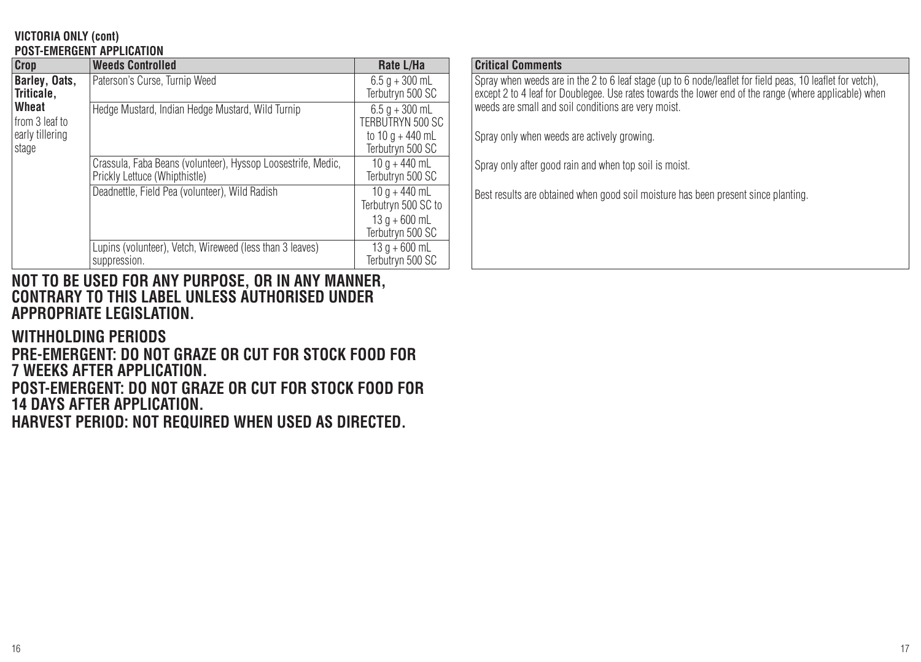#### **VICTORIA ONLY (cont) POST-EMERGENT APPLICATION**

| Crop                                                | <b>Weeds Controlled</b>                                                                       | Rate L/Ha                                                                    |
|-----------------------------------------------------|-----------------------------------------------------------------------------------------------|------------------------------------------------------------------------------|
| Barley, Oats,<br>Triticale.                         | Paterson's Curse, Turnip Weed                                                                 | $6.5 q + 300$ mL<br>Terbutryn 500 SC                                         |
| Wheat<br>from 3 leaf to<br>early tillering<br>stage | Hedge Mustard, Indian Hedge Mustard, Wild Turnip                                              | $6.5$ a + 300 mL<br>TERBUTRYN 500 SC<br>to $10a + 440mL$<br>Terbutryn 500 SC |
|                                                     | Crassula, Faba Beans (volunteer), Hyssop Loosestrife, Medic,<br>Prickly Lettuce (Whipthistle) | $10 q + 440 mL$<br>Terbutryn 500 SC                                          |
|                                                     | Deadnettle, Field Pea (volunteer), Wild Radish                                                | $10a + 440mL$<br>Terbutryn 500 SC to<br>$13a + 600mL$<br>Terbutryn 500 SC    |
|                                                     | Lupins (volunteer), Vetch, Wireweed (less than 3 leaves)<br>suppression.                      | $13q + 600$ mL<br>Terbutrvn 500 SC                                           |

## **NOT TO BE USED FOR ANY PURPOSE, OR IN ANY MANNER, CONTRARY TO THIS LABEL UNLESS AUTHORISED UNDER APPROPRIATE LEGISLATION.**

**WITHHOLDING PERIODS** 

**PRE-EMERGENT: DO NOT GRAZE OR CUT FOR STOCK FOOD FOR 7 WEEKS AFTER APPLICATION.**

**POST-EMERGENT: DO NOT GRAZE OR CUT FOR STOCK FOOD FOR 14 DAYS AFTER APPLICATION.**

**HARVEST PERIOD: NOT REQUIRED WHEN USED AS DIRECTED.**

## **Critical Comments**

Spray when weeds are in the 2 to 6 leaf stage (up to 6 node/leaflet for field peas, 10 leaflet for vetch), except 2 to 4 leaf for Doublegee. Use rates towards the lower end of the range (where applicable) when weeds are small and soil conditions are very moist.

Spray only when weeds are actively growing.

Spray only after good rain and when top soil is moist.

Best results are obtained when good soil moisture has been present since planting.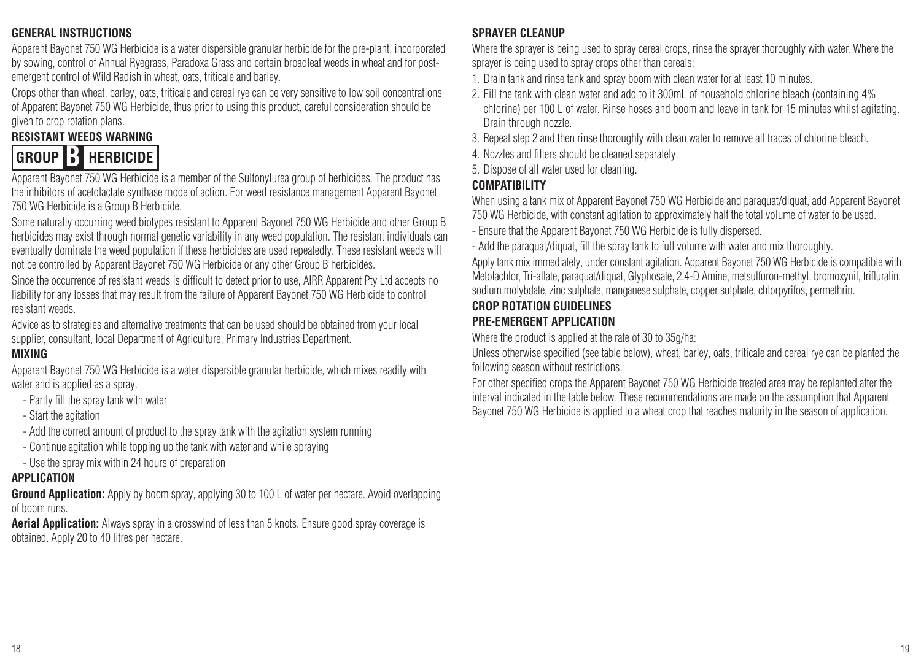## **GENERAL INSTRUCTIONS**

Apparent Bayonet 750 WG Herbicide is a water dispersible granular herbicide for the pre-plant, incorporated by sowing, control of Annual Ryegrass, Paradoxa Grass and certain broadleaf weeds in wheat and for postemergent control of Wild Radish in wheat, oats, triticale and barley.

Crops other than wheat, barley, oats, triticale and cereal rye can be very sensitive to low soil concentrations of Apparent Bayonet 750 WG Herbicide, thus prior to using this product, careful consideration should be given to crop rotation plans.

## **RESISTANT WEEDS WARNING**



Apparent Bayonet 750 WG Herbicide is a member of the Sulfonylurea group of herbicides. The product has the inhibitors of acetolactate synthase mode of action. For weed resistance management Apparent Bayonet 750 WG Herbicide is a Group B Herbicide.

Some naturally occurring weed biotypes resistant to Apparent Bayonet 750 WG Herbicide and other Group B herbicides may exist through normal genetic variability in any weed population. The resistant individuals can eventually dominate the weed population if these herbicides are used repeatedly. These resistant weeds will not be controlled by Apparent Bayonet 750 WG Herbicide or any other Group B herbicides.

Since the occurrence of resistant weeds is difficult to detect prior to use, AIRR Apparent Pty Ltd accepts no liability for any losses that may result from the failure of Apparent Bayonet 750 WG Herbicide to control resistant weeds.

Advice as to strategies and alternative treatments that can be used should be obtained from your local supplier, consultant, local Department of Agriculture, Primary Industries Department.

## **MIXING**

Apparent Bayonet 750 WG Herbicide is a water dispersible granular herbicide, which mixes readily with water and is applied as a spray.

- Partly fill the spray tank with water
- Start the agitation
- Add the correct amount of product to the spray tank with the agitation system running
- Continue agitation while topping up the tank with water and while spraying
- Use the spray mix within 24 hours of preparation

## **APPLICATION**

**Ground Application:** Apply by boom spray, applying 30 to 100 L of water per hectare. Avoid overlapping of boom runs.

**Aerial Application:** Always spray in a crosswind of less than 5 knots. Ensure good spray coverage is obtained. Apply 20 to 40 litres per hectare.

## **SPRAYER CLEANUP**

Where the sprayer is being used to spray cereal crops, rinse the sprayer thoroughly with water. Where the sprayer is being used to spray crops other than cereals:

- 1. Drain tank and rinse tank and spray boom with clean water for at least 10 minutes.
- 2. Fill the tank with clean water and add to it 300mL of household chlorine bleach (containing 4% chlorine) per 100 L of water. Rinse hoses and boom and leave in tank for 15 minutes whilst agitating. Drain through nozzle.
- 3. Repeat step 2 and then rinse thoroughly with clean water to remove all traces of chlorine bleach.
- 4. Nozzles and filters should be cleaned separately.
- 5. Dispose of all water used for cleaning.

## **COMPATIBILITY**

When using a tank mix of Apparent Bayonet 750 WG Herbicide and paraquat/diquat, add Apparent Bayonet 750 WG Herbicide, with constant agitation to approximately half the total volume of water to be used.

- Ensure that the Apparent Bayonet 750 WG Herbicide is fully dispersed.
- Add the paraquat/diquat, fill the spray tank to full volume with water and mix thoroughly.

Apply tank mix immediately, under constant agitation. Apparent Bayonet 750 WG Herbicide is compatible with Metolachlor, Tri-allate, paraquat/diquat, Glyphosate, 2,4-D Amine, metsulfuron-methyl, bromoxynil, trifluralin, sodium molybdate, zinc sulphate, manganese sulphate, copper sulphate, chlorpyrifos, permethrin.

## **CROP ROTATION GUIDELINES**

## **PRE-EMERGENT APPLICATION**

Where the product is applied at the rate of 30 to 35g/ha:

Unless otherwise specified (see table below), wheat, barley, oats, triticale and cereal rye can be planted the following season without restrictions.

For other specified crops the Apparent Bayonet 750 WG Herbicide treated area may be replanted after the interval indicated in the table below. These recommendations are made on the assumption that Apparent Bayonet 750 WG Herbicide is applied to a wheat crop that reaches maturity in the season of application.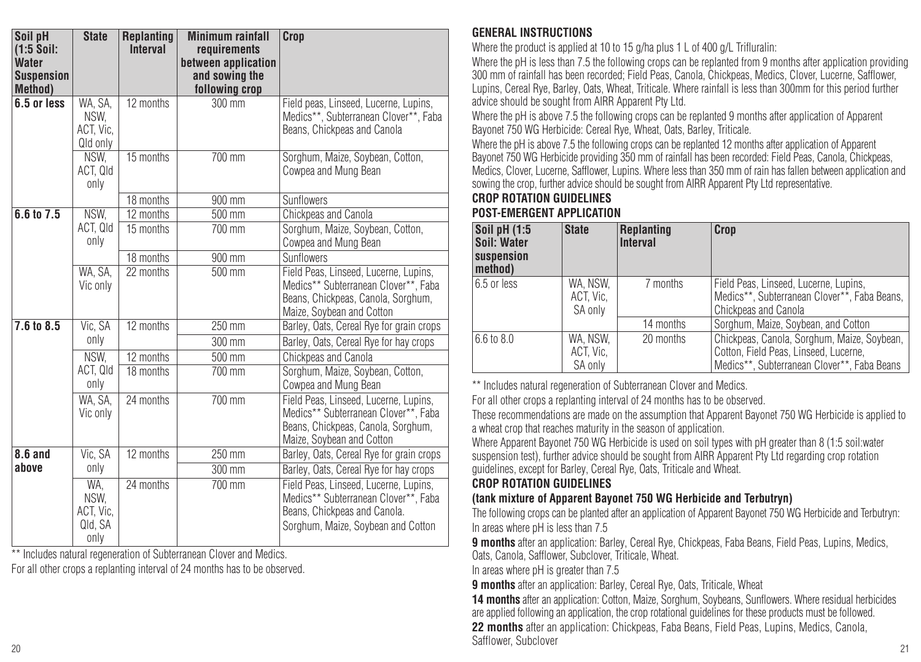| Soil pH<br>$(1:5$ Soil: | <b>State</b>                                | <b>Replanting</b><br><b>Interval</b> | <b>Minimum rainfall</b><br>requirements | Crop                                                                                                                                                |
|-------------------------|---------------------------------------------|--------------------------------------|-----------------------------------------|-----------------------------------------------------------------------------------------------------------------------------------------------------|
| <b>Water</b>            |                                             |                                      | between application                     |                                                                                                                                                     |
| <b>Suspension</b>       |                                             |                                      | and sowing the                          |                                                                                                                                                     |
| <b>Method</b> )         |                                             |                                      | following crop                          |                                                                                                                                                     |
| 6.5 or less             | WA, SA,<br>NSW.<br>ACT, Vic.<br>Qld only    | 12 months                            | 300 mm                                  | Field peas, Linseed, Lucerne, Lupins,<br>Medics**, Subterranean Clover**, Faba<br>Beans, Chickpeas and Canola                                       |
|                         | NSW.<br>ACT. QId<br>only                    | 15 months                            | 700 mm                                  | Sorghum, Maize, Sovbean, Cotton,<br>Cowpea and Mung Bean                                                                                            |
|                         |                                             | 18 months                            | 900 mm                                  | Sunflowers                                                                                                                                          |
| 6.6 to 7.5              | NSW.                                        | 12 months                            | 500 mm                                  | Chickpeas and Canola                                                                                                                                |
|                         | ACT, Qld<br>only                            | 15 months                            | $700 \text{ mm}$                        | Sorghum, Maize, Soybean, Cotton,<br>Cowpea and Mung Bean                                                                                            |
|                         |                                             | 18 months                            | 900 mm                                  | Sunflowers                                                                                                                                          |
|                         | WA. SA.<br>Vic only                         | 22 months                            | $500$ mm                                | Field Peas, Linseed, Lucerne, Lupins.<br>Medics** Subterranean Clover**, Faba<br>Beans, Chickpeas, Canola, Sorghum,<br>Maize, Soybean and Cotton    |
| 7.6 to 8.5              | Vic. SA                                     | 12 months                            | 250 mm                                  | Barley, Oats, Cereal Rye for grain crops                                                                                                            |
|                         | only                                        |                                      | $300 \text{ mm}$                        | Barley, Oats, Cereal Rye for hay crops                                                                                                              |
|                         | NSW.                                        | 12 months                            | 500 mm                                  | Chickpeas and Canola                                                                                                                                |
|                         | ACT. QId<br>only                            | 18 months                            | 700 mm                                  | Sorghum, Maize, Sovbean, Cotton,<br>Cowpea and Mung Bean                                                                                            |
|                         | WA. SA.<br>Vic only                         | 24 months                            | $700$ mm                                | Field Peas, Linseed, Lucerne, Lupins.<br>Medics** Subterranean Clover**, Faba<br>Beans, Chickpeas, Canola, Sorghum,<br>Maize, Soybean and Cotton    |
| 8.6 and                 | Vic. SA                                     | 12 months                            | $\overline{250}$ mm                     | Barley, Oats, Cereal Rye for grain crops                                                                                                            |
| above                   | only                                        |                                      | 300 mm                                  | Barley, Oats, Cereal Rye for hay crops                                                                                                              |
|                         | WA.<br>NSW.<br>ACT. Vic.<br>Qld, SA<br>only | 24 months                            | 700 mm                                  | Field Peas, Linseed, Lucerne, Lupins.<br>Medics** Subterranean Clover**, Faba<br>Beans, Chickpeas and Canola.<br>Sorghum, Maize, Sovbean and Cotton |

\*\* Includes natural regeneration of Subterranean Clover and Medics.

For all other crops a replanting interval of 24 months has to be observed.

## **GENERAL INSTRUCTIONS**

Where the product is applied at 10 to 15 g/ha plus 1 L of 400 g/L Trifluralin:

Where the pH is less than 7.5 the following crops can be replanted from 9 months after application providing 300 mm of rainfall has been recorded; Field Peas, Canola, Chickpeas, Medics, Clover, Lucerne, Safflower, Lupins, Cereal Rye, Barley, Oats, Wheat, Triticale. Where rainfall is less than 300mm for this period further advice should be sought from AIRR Apparent Pty Ltd.

Where the pH is above 7.5 the following crops can be replanted 9 months after application of Apparent Bayonet 750 WG Herbicide: Cereal Rye, Wheat, Oats, Barley, Triticale.

Where the pH is above 7.5 the following crops can be replanted 12 months after application of Apparent Bayonet 750 WG Herbicide providing 350 mm of rainfall has been recorded: Field Peas, Canola, Chickpeas, Medics, Clover, Lucerne, Safflower, Lupins. Where less than 350 mm of rain has fallen between application and sowing the crop, further advice should be sought from AIRR Apparent Pty Ltd representative.

## **CROP ROTATION GUIDELINES**

## **POST-EMERGENT APPLICATION**

| Soil pH (1:5<br>Soil: Water<br>suspension<br>method) | <b>State</b>                     | Replanting<br><b>Interval</b> | Crop                                                                                                                                |
|------------------------------------------------------|----------------------------------|-------------------------------|-------------------------------------------------------------------------------------------------------------------------------------|
| 6.5 or less                                          | WA. NSW.<br>ACT. Vic.<br>SA only | 7 months                      | Field Peas, Linseed, Lucerne, Lupins,<br>Medics**, Subterranean Clover**, Faba Beans,<br>Chickpeas and Canola                       |
|                                                      |                                  | 14 months                     | Sorghum, Maize, Soybean, and Cotton                                                                                                 |
| 6.6 to 8.0                                           | WA. NSW.<br>ACT. Vic.<br>SA only | 20 months                     | Chickpeas, Canola, Sorghum, Maize, Soybean,<br>Cotton, Field Peas, Linseed, Lucerne.<br>Medics**, Subterranean Clover**, Faba Beans |

\*\* Includes natural regeneration of Subterranean Clover and Medics.

For all other crops a replanting interval of 24 months has to be observed.

These recommendations are made on the assumption that Apparent Bayonet 750 WG Herbicide is applied to a wheat crop that reaches maturity in the season of application.

Where Apparent Bayonet 750 WG Herbicide is used on soil types with pH greater than 8 (1:5 soil:water suspension test), further advice should be sought from AIRR Apparent Pty Ltd regarding crop rotation guidelines, except for Barley, Cereal Rye, Oats, Triticale and Wheat.

## **CROP ROTATION GUIDELINES**

## **(tank mixture of Apparent Bayonet 750 WG Herbicide and Terbutryn)**

The following crops can be planted after an application of Apparent Bayonet 750 WG Herbicide and Terbutryn: In areas where pH is less than 7.5

**9 months** after an application: Barley, Cereal Rye, Chickpeas, Faba Beans, Field Peas, Lupins, Medics, Oats, Canola, Safflower, Subclover, Triticale, Wheat.

In areas where pH is greater than 7.5

**9 months** after an application: Barley, Cereal Rye, Oats, Triticale, Wheat

20 сельский, сельский солон в сельский солон в сельский солон в сельский солон в сельский солон в солон в сель<br>20 14 months after an application: Cotton, Maize, Sorghum, Soybeans, Sunflowers, Where residual herbicides are applied following an application, the crop rotational guidelines for these products must be followed. **22 months** after an application: Chickpeas, Faba Beans, Field Peas, Lupins, Medics, Canola, Safflower, Subclover